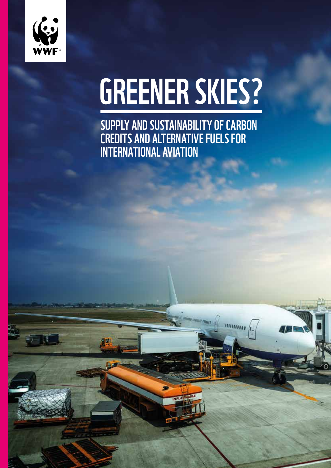

# GREENER SKIES?

Supply and sustainability of carbon credits and alternative fuels for international aviation

ини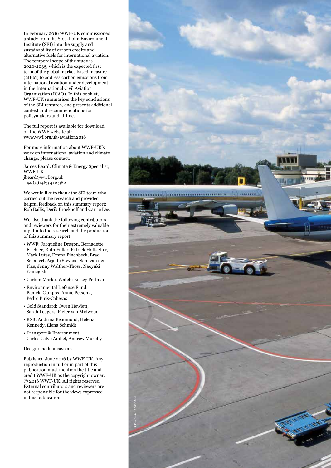In February 2016 WWF-UK commissioned a study from the Stockholm Environment Institute (SEI) into the supply and sustainability of carbon credits and alternative fuels for international aviation. The temporal scope of the study is 2020-2035, which is the expected first term of the global market-based measure (MBM) to address carbon emissions from international aviation under development in the International Civil Aviation Organization (ICAO). In this booklet, WWF-UK summarises the key conclusions of the SEI research, and presents additional context and recommendations for policymakers and airlines.

The full report is available for download on the WWF website at: www.wwf.org.uk/aviation2016

For more information about WWF-UK's work on international aviation and climate change, please contact:

James Beard, Climate & Energy Specialist, WWF-UK jbeard@wwf.org.uk  $+44$  (0)1483 412 382

We would like to thank the SEI team who carried out the research and provided helpful feedback on this summary report: Rob Bailis, Derik Broekhoff and Carrie Lee.

We also thank the following contributors and reviewers for their extremely valuable input into the research and the production of this summary report:

- WWF: Jacqueline Dragon, Bernadette Fischler, Ruth Fuller, Patrick Hoftsetter, Mark Lutes, Emma Pinchbeck, Brad Schallert, Arjette Stevens, Sam van den Plas, Jenny Walther-Thoss, Naoyuki Yamagishi
- Carbon Market Watch: Kelsey Perlman
- Environmental Defense Fund: Pamela Campos, Annie Petsonk, Pedro Piris-Cabezas
- Gold Standard: Owen Hewlett, Sarah Leugers, Pieter van Midwoud
- RSB: Andrina Beaumond, Helena Kennedy, Elena Schmidt
- Transport & Environment: Carlos Calvo Ambel, Andrew Murphy

Design: madenoise.com

Published June 2016 by WWF-UK. Any reproduction in full or in part of this publication must mention the title and credit WWF-UK as the copyright owner. © 2016 WWF-UK. All rights reserved. External contributors and reviewers are not responsible for the views expressed in this publication.

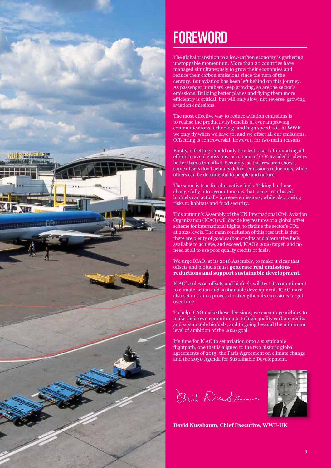

### **FOREWORD**

The global transition to a low-carbon economy is gathering unstoppable momentum. More than 20 countries have managed simultaneously to grow their economies and reduce their carbon emissions since the turn of the century. But aviation has been left behind on this journey. As passenger numbers keep growing, so are the sector's emissions. Building better planes and flying them more efficiently is critical, but will only slow, not reverse, growing aviation emissions.

The most effective way to reduce aviation emissions is to realise the productivity benefits of ever-improving communications technology and high speed rail. At WWF we only fly when we have to, and we offset all our emissions. Offsetting is controversial, however, for two main reasons.

Firstly, offsetting should only be a last resort after making all efforts to avoid emissions, as a tonne of CO2 avoided is always better than a ton offset. Secondly, as this research shows, some offsets don't actually deliver emissions reductions, while others can be detrimental to people and nature.

The same is true for alternative fuels. Taking land use change fully into account means that some crop-based biofuels can actually increase emissions, while also posing risks to habitats and food security.

This autumn's Assembly of the UN International Civil Aviation Organization (ICAO) will decide key features of a global offset scheme for international flights, to flatline the sector's CO2 at 2020 levels. The main conclusion of this research is that there are plenty of good carbon credits and alternative fuels available to achieve, and exceed, ICAO's 2020 target, and no need at all to use poor quality credits or fuels.

We urge ICAO, at its 2016 Assembly, to make it clear that offsets and biofuels must **generate real emissions reductions and support sustainable development.**

ICAO's rules on offsets and biofuels will test its commitment to climate action and sustainable development. ICAO must also set in train a process to strengthen its emissions target over time.

To help ICAO make these decisions, we encourage airlines to make their own commitments to high quality carbon credits and sustainable biofuels, and to going beyond the minimum level of ambition of the 2020 goal.

It's time for ICAO to set aviation onto a sustainable flightpath, one that is aligned to the two historic global agreements of 2015: the Paris Agreement on climate change and the 2030 Agenda for Sustainable Development.

David Dunter



**David Nussbaum, Chief Executive, WWF-UK**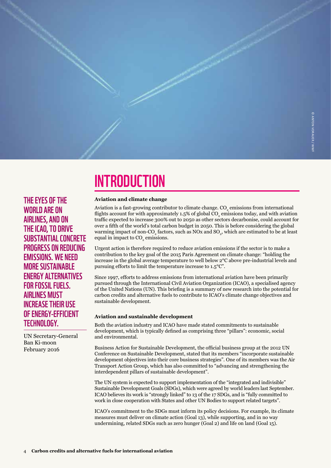

### **INTRODUCTION**

#### **Aviation and climate change**

Aviation is a fast-growing contributor to climate change.  $\mathrm{CO}_2$  emissions from international flights account for with approximately 1.5% of global CO<sub>2</sub> emissions today, and with aviation traffic expected to increase 300% out to 2050 as other sectors decarbonise, could account for over a fifth of the world's total carbon budget in 2050. This is before considering the global warming impact of non-CO<sub>2</sub> factors, such as NOx and SO<sub>2</sub>, which are estimated to be at least equal in impact to  $\mathrm{CO}_2$  emissions.

Urgent action is therefore required to reduce aviation emissions if the sector is to make a contribution to the key goal of the 2015 Paris Agreement on climate change: "holding the increase in the global average temperature to well below 2°C above pre-industrial levels and pursuing efforts to limit the temperature increase to 1.5°C".

Since 1997, efforts to address emissions from international aviation have been primarily pursued through the International Civil Aviation Organization (ICAO), a specialised agency of the United Nations (UN). This briefing is a summary of new research into the potential for carbon credits and alternative fuels to contribute to ICAO's climate change objectives and sustainable development.

#### **Aviation and sustainable development**

Both the aviation industry and ICAO have made stated commitments to sustainable development, which is typically defined as comprising three "pillars": economic, social and environmental.

Business Action for Sustainable Development, the official business group at the 2012 UN Conference on Sustainable Development, stated that its members "incorporate sustainable development objectives into their core business strategies". One of its members was the Air Transport Action Group, which has also committed to "advancing and strengthening the interdependent pillars of sustainable development".

The UN system is expected to support implementation of the "integrated and indivisible" Sustainable Development Goals (SDGs), which were agreed by world leaders last September. ICAO believes its work is "strongly linked" to 13 of the 17 SDGs, and is "fully committed to work in close cooperation with States and other UN Bodies to support related targets".

ICAO's commitment to the SDGs must inform its policy decisions. For example, its climate measures must deliver on climate action (Goal 13), while supporting, and in no way undermining, related SDGs such as zero hunger (Goal 2) and life on land (Goal 15).

The eyes of the world are on airlines, and on the ICAO, to drive substantial concrete progress on reducing emissions. We need more sustainable energy alternatives FOR FOSSIL FUELS. Airlines must increase their use of energy-efficient technology.

UN Secretary-General Ban Ki-moon February 2016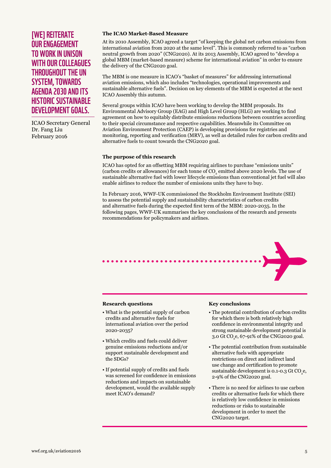#### [WE] REITERATE our engagement to work in unison with our colleagues throughout the UN system, towards Agenda 2030 and its historic Sustainable Development Goals.

ICAO Secretary General Dr. Fang Liu February 2016

#### **The ICAO Market-Based Measure**

At its 2010 Assembly, ICAO agreed a target "of keeping the global net carbon emissions from international aviation from 2020 at the same level". This is commonly referred to as "carbon neutral growth from 2020" (CNG2020). At its 2013 Assembly, ICAO agreed to "develop a global MBM (market-based measure) scheme for international aviation" in order to ensure the delivery of the CNG2020 goal.

The MBM is one measure in ICAO's "basket of measures" for addressing international aviation emissions, which also includes "technologies, operational improvements and sustainable alternative fuels". Decision on key elements of the MBM is expected at the next ICAO Assembly this autumn.

Several groups within ICAO have been working to develop the MBM proposals. Its Environmental Advisory Group (EAG) and High Level Group (HLG) are working to find agreement on how to equitably distribute emissions reductions between countries according to their special circumstance and respective capabilities. Meanwhile its Committee on Aviation Environment Protection (CAEP) is developing provisions for registries and monitoring, reporting and verification (MRV), as well as detailed rules for carbon credits and alternative fuels to count towards the CNG2020 goal.

#### **The purpose of this research**

ICAO has opted for an offsetting MBM requiring airlines to purchase "emissions units" (carbon credits or allowances) for each tonne of  $\mathrm{CO}_2$  emitted above 2020 levels. The use of sustainable alternative fuel with lower lifecycle emissions than conventional jet fuel will also enable airlines to reduce the number of emissions units they have to buy.

In February 2016, WWF-UK commissioned the Stockholm Environment Institute (SEI) to assess the potential supply and sustainability characteristics of carbon credits and alternative fuels during the expected first term of the MBM: 2020-2035. In the following pages, WWF-UK summarises the key conclusions of the research and presents recommendations for policymakers and airlines.



#### **Research questions**

- What is the potential supply of carbon credits and alternative fuels for international aviation over the period 2020-2035?
- Which credits and fuels could deliver genuine emissions reductions and/or support sustainable development and the SDGs?
- If potential supply of credits and fuels was screened for confidence in emissions reductions and impacts on sustainable development, would the available supply meet ICAO's demand?

#### **Key conclusions**

- The potential contribution of carbon credits for which there is both relatively high confidence in environmental integrity and strong sustainable development potential is 3.0 Gt CO<sub>2</sub>e, 67-91% of the CNG2020 goal.
- The potential contribution from sustainable alternative fuels with appropriate restrictions on direct and indirect land use change and certification to promote sustainable development is 0.1-0.3 Gt  $CO<sub>2</sub>$ e, 2-9% of the CNG2020 goal.
- There is no need for airlines to use carbon credits or alternative fuels for which there is relatively low confidence in emissions reductions or risks to sustainable development in order to meet the CNG2020 target.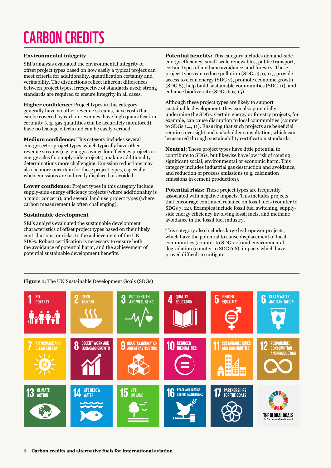# carbon credits

#### **Environmental integrity**

SEI's analysis evaluated the environmental integrity of offset project types based on how easily a typical project can meet criteria for additionality, quantification certainty and verifiability. The distinctions reflect inherent differences between project types, irrespective of standards used; strong standards are required to ensure integrity in all cases.

**Higher confidence:** Project types in this category generally have no other revenue streams, have costs that can be covered by carbon revenues, have high quantification certainty (e.g. gas quantities can be accurately monitored), have no leakage effects and can be easily verified.

**Medium confidence:** This category includes several energy sector project types, which typically have other revenue streams (e.g. energy savings for efficiency projects or energy sales for supply-side projects), making additionality determinations more challenging. Emission reductions may also be more uncertain for these project types, especially when emissions are indirectly displaced or avoided.

**Lower confidence:** Project types in this category include supply-side energy efficiency projects (where additionality is a major concern), and several land use project types (where carbon measurement is often challenging).

#### **Sustainable development**

SEI's analysis evaluated the sustainable development characteristics of offset project types based on their likely contributions, or risks, to the achievement of the UN SDGs. Robust certification is necessary to ensure both the avoidance of potential harm, and the achievement of potential sustainable development benefits.

**Figure 1:** The UN Sustainable Development Goals (SDGs)

**Potential benefits:** This category includes demand-side energy efficiency, small-scale renewables, public transport, certain types of methane avoidance, and forestry. These project types can reduce pollution (SDGs 3, 6, 11), provide access to clean energy (SDG 7), promote economic growth (SDG 8), help build sustainable communities (SDG 11), and enhance biodiversity (SDGs 6.6, 15).

Although these project types are likely to support sustainable development, they can also potentially undermine the SDGs. Certain energy or forestry projects, for example, can cause disruption to local communities (counter to SDGs 1.4, 11). Ensuring that such projects are beneficial requires oversight and stakeholder consultation, which can be assured through sustainability certification standards.

**Neutral:** These project types have little potential to contribute to SDGs, but likewise have low risk of causing significant social, environmental or economic harm. This category includes industrial gas destruction and avoidance, and reduction of process emissions (e.g. calcination emissions in cement production).

**Potential risks:** These project types are frequently associated with negative impacts. This includes projects that encourage continued reliance on fossil fuels (counter to SDGs 7, 12). Examples include fossil fuel switching, supplyside energy efficiency involving fossil fuels, and methane avoidance in the fossil fuel industry.

This category also includes large hydropower projects, which have the potential to cause displacement of local communities (counter to SDG 1.4) and environmental degradation (counter to SDG 6.6), impacts which have proved difficult to mitigate.

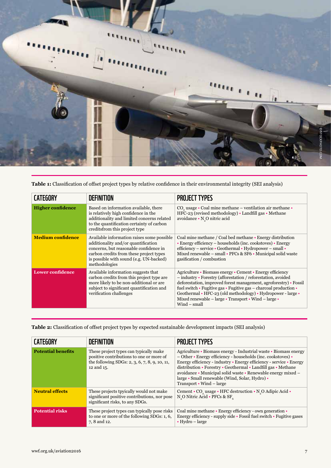

**Table 1:** Classification of offset project types by relative confidence in their environmental integrity (SEI analysis)

| <b>CATEGORY</b>          | <b>DEFINITION</b>                                                                                                                                                                                                                  | <b>PROJECT TYPES</b>                                                                                                                                                                                                                                                                                                                                                                                           |
|--------------------------|------------------------------------------------------------------------------------------------------------------------------------------------------------------------------------------------------------------------------------|----------------------------------------------------------------------------------------------------------------------------------------------------------------------------------------------------------------------------------------------------------------------------------------------------------------------------------------------------------------------------------------------------------------|
| <b>Higher confidence</b> | Based on information available, there<br>is relatively high confidence in the<br>additionality and limited concerns related<br>to the quantification certainty of carbon<br>creditsfrom this project type                          | $COa$ usage $\cdot$ Coal mine methane – ventilation air methane $\cdot$<br>HFC-23 (revised methodology) • Landfill gas • Methane<br>avoidance · N <sub>2</sub> O nitric acid                                                                                                                                                                                                                                   |
| <b>Medium confidence</b> | Available information raises some possible<br>additionality and/or quantification<br>concerns, but reasonable confidence in<br>carbon credits from these project types<br>is possible with sound (e.g. UN-backed)<br>methodologies | Coal mine methane / Coal bed methane • Energy distribution<br>• Energy efficiency – households (inc. cookstoves) • Energy<br>efficiency – service • Geothermal • Hydropower – small •<br>Mixed renewable - small • PFCs & SF6 • Municipal solid waste<br>gasification / combustion                                                                                                                             |
| <b>Lower confidence</b>  | Available information suggests that<br>carbon credits from this project type are<br>more likely to be non-additional or are<br>subject to significant quantification and<br>verification challenges                                | Agriculture • Biomass energy • Cement • Energy efficiency<br>- industry • Forestry (afforestation / reforestation, avoided<br>deforestation, improved forest management, agroforestry) • Fossil<br>fuel switch • Fugitive gas • Fugitive gas – charcoal production •<br>Geothermal • HFC-23 (old methodology) • Hydropower - large •<br>Mixed renewable - large • Transport • Wind - large •<br>$Wind - small$ |

**Table 2:** Classification of offset project types by expected sustainable development impacts (SEI analysis)

| <b>CATEGORY</b>           | <b>DEFINITION</b>                                                                                                                                 | <b>PROJECT TYPES</b>                                                                                                                                                                                                                                                                                                                                                                                                                 |
|---------------------------|---------------------------------------------------------------------------------------------------------------------------------------------------|--------------------------------------------------------------------------------------------------------------------------------------------------------------------------------------------------------------------------------------------------------------------------------------------------------------------------------------------------------------------------------------------------------------------------------------|
| <b>Potential benefits</b> | These project types can typically make<br>positive contributions to one or more of<br>the following SDGs: 2, 3, 6, 7, 8, 9, 10, 11,<br>12 and 15. | Agriculture • Biomass energy - Industrial waste • Biomass energy<br>$-$ Other $\cdot$ Energy efficiency - households (inc. cookstoves) $\cdot$<br>Energy efficiency - industry • Energy efficiency - service • Energy<br>distribution • Forestry • Geothermal • Landfill gas • Methane<br>avoidance • Municipal solid waste • Renewable energy mixed –<br>large • Small renewable (Wind, Solar, Hydro) •<br>Transport • Wind – large |
| <b>Neutral effects</b>    | These projects tpyically would not make<br>significant positive contributions, nor pose<br>significant risks, to any SDGs.                        | Cement • CO usage • HFC destruction • N O Adipic Acid •<br>N O Nitric Acid • PFCs & SF                                                                                                                                                                                                                                                                                                                                               |
| <b>Potential risks</b>    | These project types can typically pose risks<br>to one or more of the following SDGs: 1, 6,<br>7, 8 and 12.                                       | Coal mine methane • Energy efficiency - own generation •<br>Energy efficiency - supply side • Fossil fuel switch • Fugitive gases<br>$\bullet$ Hydro – large                                                                                                                                                                                                                                                                         |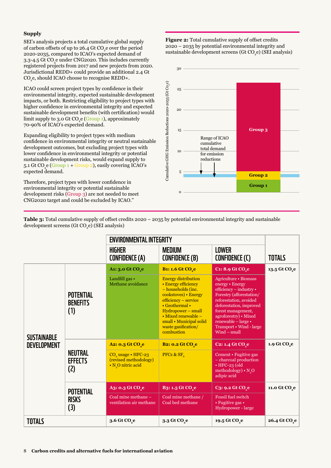#### **Supply**

SEI's analysis projects a total cumulative global supply of carbon offsets of up to 26.4 Gt  $\mathrm{CO}_2$ e over the period 2020-2035, compared to ICAO's expected demand of 3.3-4.5 Gt CO<sub>2</sub>e under CNG2020. This includes currently registered projects from 2017 and new projects from 2020. Jurisdictional REDD+ could provide an additional 2.4 Gt  $\rm CO_{2}$ e, should ICAO choose to recognise REDD+.

ICAO could screen project types by confidence in their environmental integrity, expected sustainable development impacts, or both. Restricting eligibility to project types with higher confidence in environmental integrity and expected sustainable development benefits (with certification) would limit supply to 3.0 Gt CO<sub>2</sub>e (Group 1), approximately 70-90% of ICAO's expected demand.

Expanding eligibility to project types with medium confidence in environmental integrity or neutral sustainable development outcomes, but excluding project types with lower confidence in environmental integrity or potential sustainable development risks, would expand supply to 5.1 Gt CO<sub>2</sub>e (Group 1 + Group 2), easily covering ICAO's expected demand.

Therefore, project types with lower confidence in environmental integrity or potential sustainable development risks (Group 3) are not needed to meet CNG2020 target and could be excluded by ICAO."

**Figure 2:** Total cumulative supply of offset credits 2020 – 2035 by potential environmental integrity and sustainable development screens (Gt  $\rm CO_{2}e$ ) (SEI analysis)



**Table 3:** Total cumulative supply of offset credits 2020 – 2035 by potential environmental integrity and sustainable development screens (Gt CO<sub>2</sub>e) (SEI analysis)

|                                          |                                            | <b>ENVIRONMENTAL INTEGRITY</b>                                                            |                                                                                                                                                                                                                                                                    |                                                                                                                                                                                                                                                                          |                           |
|------------------------------------------|--------------------------------------------|-------------------------------------------------------------------------------------------|--------------------------------------------------------------------------------------------------------------------------------------------------------------------------------------------------------------------------------------------------------------------|--------------------------------------------------------------------------------------------------------------------------------------------------------------------------------------------------------------------------------------------------------------------------|---------------------------|
|                                          |                                            | <b>HIGHER</b><br><b>CONFIDENCE (A)</b>                                                    | <b>MEDIUM</b><br><b>CONFIDENCE (B)</b>                                                                                                                                                                                                                             | <b>LOWER</b><br>CONFIDENCE (C)                                                                                                                                                                                                                                           | <b>TOTALS</b>             |
| <b>SUSTAINABLE</b><br><b>DEVELOPMENT</b> |                                            | A1: 3.0 Gt CO <sub>2</sub> e                                                              | <b>B1: 1.6 Gt CO<sub>2</sub>e</b>                                                                                                                                                                                                                                  | C1: 8.9 Gt CO <sub>2</sub> e                                                                                                                                                                                                                                             | 13.5 Gt CO <sub>,e</sub>  |
|                                          | <b>POTENTIAL</b><br><b>BENEFITS</b><br>(1) | Landfill gas •<br>Methane avoidance                                                       | <b>Energy distribution</b><br>• Energy efficiency<br>- households (inc.<br>cookstoves) • Energy<br>efficiency - service<br>$\cdot$ Geothermal $\cdot$<br>Hydropower - small<br>• Mixed renewable -<br>small • Municipal solid<br>waste gasification/<br>combustion | Agriculture · Biomass<br>energy • Energy<br>efficiency - industry •<br>Forestry (afforestation/<br>reforestation, avoided<br>deforestation, improved<br>forest management,<br>agroforestry) • Mixed<br>renewable - large •<br>Transport . Wind - large<br>$Wind - small$ |                           |
|                                          | <b>NEUTRAL</b><br><b>EFFECTS</b><br>(2)    | A2: 0.3 Gt CO <sub>.</sub> e                                                              | <b>B2: 0.2 Gt CO<sub>2</sub>e</b>                                                                                                                                                                                                                                  | C <sub>2</sub> : 1.4 Gt CO <sub>2</sub> e                                                                                                                                                                                                                                | 1.9 Gt CO <sub>2</sub> e  |
|                                          |                                            | CO <sub>2</sub> usage • HFC-23<br>(revised methodology)<br>• N <sub>o</sub> O nitric acid | PFCs & $SF_6$                                                                                                                                                                                                                                                      | Cement · Fugitive gas<br>- charcoal production<br>$\cdot$ HFC-23 (old<br>methodology) $\cdot \overline{N_{0}O}$<br>adipic acid                                                                                                                                           |                           |
|                                          | <b>POTENTIAL</b><br><b>RISKS</b><br>(3)    | A3: 0.3 Gt CO <sub>2</sub> e                                                              | <b>B3: 1.5 Gt CO<sub>2</sub>e</b>                                                                                                                                                                                                                                  | $\overline{\text{C3: 9.2 Gt C0}_e}$                                                                                                                                                                                                                                      | 11.0 Gt CO <sub>2</sub> e |
|                                          |                                            | Coal mine methane -<br>ventilation air methane                                            | Coal mine methane /<br>Coal bed methane                                                                                                                                                                                                                            | <b>Fossil fuel switch</b><br>• Fugitive gas •<br>Hydropower - large                                                                                                                                                                                                      |                           |
| <b>TOTALS</b>                            |                                            | 3.6 Gt CO <sub>2</sub> e                                                                  | 3.3 Gt CO <sub>2</sub> e                                                                                                                                                                                                                                           | 19.5 Gt CO <sub>2</sub> e                                                                                                                                                                                                                                                | 26.4 Gt CO <sub>s</sub> e |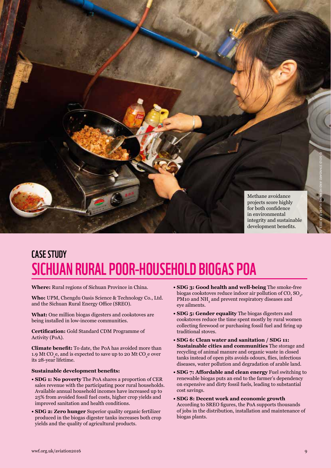

### case study Sichuan Rural Poor-Household Biogas PoA

**Where:** Rural regions of Sichuan Province in China.

**Who:** UPM, Chengdu Oasis Science & Technology Co., Ltd. and the Sichuan Rural Energy Office (SREO).

**What:** One million biogas digesters and cookstoves are being installed in low-income communities.

**Certification:** Gold Standard CDM Programme of Activity (PoA).

**Climate benefit:** To date, the PoA has avoided more than 1.9 Mt CO<sub>2</sub>e, and is expected to save up to 20 Mt CO<sub>2</sub>e over its 28-year lifetime.

#### **Sustainable development benefits:**

- **SDG 1: No poverty** The PoA shares a proportion of CER sales revenue with the participating poor rural households. Available annual household incomes have increased up to 25% from avoided fossil fuel costs, higher crop yields and improved sanitation and health conditions.
- **SDG 2: Zero hunger** Superior quality organic fertilizer produced in the biogas digester tanks increases both crop yields and the quality of agricultural products.
- **SDG 3: Good health and well-being** The smoke-free biogas cookstoves reduce indoor air pollution of CO,  $\text{SO}_2$ , PM10 and  $\mathrm{NH}_3$  and prevent respiratory diseases and eye ailments.
- **SDG 5: Gender equality** The biogas digesters and cookstoves reduce the time spent mostly by rural women collecting firewood or purchasing fossil fuel and firing up traditional stoves.
- **SDG 6: Clean water and sanitation / SDG 11: Sustainable cities and communities** The storage and recycling of animal manure and organic waste in closed tanks instead of open pits avoids odours, flies, infectious diseases, water pollution and degradation of arable land.
- **SDG 7: Affordable and clean energy** Fuel switching to renewable biogas puts an end to the farmer's dependency on expensive and dirty fossil fuels, leading to substantial cost savings.
- **SDG 8: Decent work and economic growth** According to SREO figures, the PoA supports thousands of jobs in the distribution, installation and maintenance of biogas plants.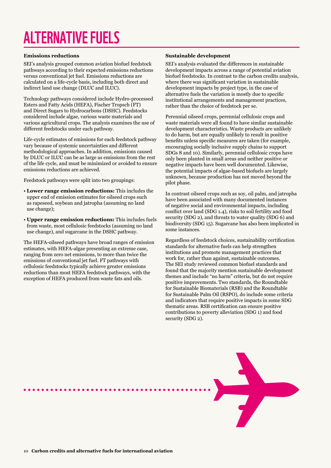# Alternative fuels

#### **Emissions reductions**

SEI's analysis grouped common aviation biofuel feedstock pathways according to their expected emissions reductions versus conventional jet fuel. Emissions reductions are calculated on a life-cycle basis, including both direct and indirect land use change (DLUC and ILUC).

Technology pathways considered include Hydro-processed Esters and Fatty Acids (HEFA), Fischer Tropsch (FT) and Direct Sugars to Hydrocarbons (DSHC). Feedstocks considered include algae, various waste materials and various agricultural crops. The analysis examines the use of different feedstocks under each pathway.

Life-cycle estimates of emissions for each feedstock pathway vary because of systemic uncertainties and different methodological approaches. In addition, emissions caused by DLUC or ILUC can be as large as emissions from the rest of the life cycle, and must be minimized or avoided to ensure emissions reductions are achieved.

Feedstock pathways were split into two groupings:

- **Lower range emission reductions:** This includes the upper end of emission estimates for oilseed crops such as rapeseed, soybean and jatropha (assuming no land use change);
- **Upper range emission reductions:** This includes fuels from waste, most cellulosic feedstocks (assuming no land use change), and sugarcane in the DSHC pathway.

The HEFA-oilseed pathways have broad ranges of emission estimates, with HEFA-algae presenting an extreme case, ranging from zero net emissions, to more than twice the emissions of conventional jet fuel. FT pathways with cellulosic feedstocks typically achieve greater emissions reductions than most HEFA feedstock pathways, with the exception of HEFA produced from waste fats and oils.

#### **Sustainable development**

SEI's analysis evaluated the differences in sustainable development impacts across a range of potential aviation biofuel feedstocks. In contrast to the carbon credits analysis, where there was significant variation in sustainable development impacts by project type, in the case of alternative fuels the variation is mostly due to specific institutional arrangements and management practices, rather than the choice of feedstock per se.

Perennial oilseed crops, perennial cellulosic crops and waste materials were all found to have similar sustainable development characteristics. Waste products are unlikely to do harm, but are equally unlikely to result in positive benefits unless specific measures are taken (for example, encouraging socially inclusive supply chains to support SDGs 8 and 10). Similarly, perennial cellulosic crops have only been planted in small areas and neither positive or negative impacts have been well documented. Likewise, the potential impacts of algae-based biofuels are largely unknown, because production has not moved beyond the pilot phase.

In contrast oilseed crops such as soy, oil palm, and jatropha have been associated with many documented instances of negative social and environmental impacts, including conflict over land (SDG 1.4), risks to soil fertility and food security (SDG 2), and threats to water quality (SDG 6) and biodiversity (SDG 15). Sugarcane has also been implicated in some instances.

Regardless of feedstock choices, sustainability certification standards for alternative fuels can help strengthen institutions and promote management practices that work for, rather than against, sustainable outcomes. The SEI study reviewed common biofuel standards and found that the majority mention sustainable development themes and include "no harm" criteria, but do not require positive improvements. Two standards, the Roundtable for Sustainable Biomaterials (RSB) and the Roundtable for Sustainable Palm Oil (RSPO), do include some criteria and indicators that require positive impacts in some SDG thematic areas. RSB certification can ensure positive contributions to poverty alleviation (SDG 1) and food security (SDG 2).

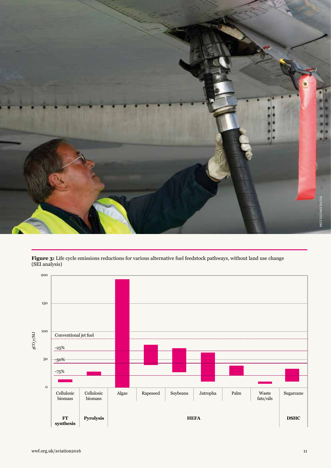

**Figure 3:** Life cycle emissions reductions for various alternative fuel feedstock pathways, without land use change (SEI analysis)

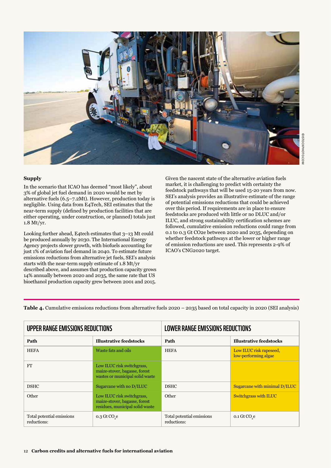

#### **Supply**

In the scenario that ICAO has deemed "most likely", about 3% of global jet fuel demand in 2020 would be met by alternative fuels (6.5–7.2Mt). However, production today is negligible. Using data from E4Tech, SEI estimates that the near-term supply (defined by production facilities that are either operating, under construction, or planned) totals just 1.8 Mt/yr.

Looking further ahead, E4tech estimates that 3–13 Mt could be produced annually by 2030. The International Energy Agency projects slower growth, with biofuels accounting for just 1% of aviation fuel demand in 2040. To estimate future emissions reductions from alternative jet fuels, SEI's analysis starts with the near-term supply estimate of 1.8 Mt/yr described above, and assumes that production capacity grows 14% annually between 2020 and 2035, the same rate that US bioethanol production capacity grew between 2001 and 2015.

Given the nascent state of the alternative aviation fuels market, it is challenging to predict with certainty the feedstock pathways that will be used 15-20 years from now. SEI's analysis provides an illustrative estimate of the range of potential emissions reductions that could be achieved over this period. If requirements are in place to ensure feedstocks are produced with little or no DLUC and/or ILUC, and strong sustainability certification schemes are followed, cumulative emission reductions could range from 0.1 to 0.3 Gt CO2e between 2020 and 2035, depending on whether feedstock pathways at the lower or higher range of emission reductions are used. This represents 2-9% of ICAO's CNG2020 target.

**Table 4.** Cumulative emissions reductions from alternative fuels 2020 – 2035 based on total capacity in 2020 (SEI analysis)

| <b>UPPER RANGE EMISSIONS REDUCTIONS</b>  |                                                                                                | LOWER RANGE EMISSIONS REDUCTIONS         |                                                 |  |
|------------------------------------------|------------------------------------------------------------------------------------------------|------------------------------------------|-------------------------------------------------|--|
| Path                                     | <b>Illustrative feedstocks</b>                                                                 | Path                                     | <b>Illustrative feedstocks</b>                  |  |
| <b>HEFA</b>                              | Waste fats and oils                                                                            | <b>HEFA</b>                              | Low ILUC risk rapeseed,<br>low-performing algae |  |
| <b>FT</b>                                | Low ILUC risk switchgrass,<br>maize-stover, bagasse, forest<br>wastes or municipal solid waste |                                          |                                                 |  |
| <b>DSHC</b>                              | Sugarcane with no D/ILUC                                                                       | <b>DSHC</b>                              | Sugarcane with minimal D/ILUC                   |  |
| Other                                    | Low ILUC risk switchgrass,<br>maize-stover, bagasse, forest<br>residues, municipal solid waste | Other                                    | <b>Switchgrass with ILUC</b>                    |  |
| Total potential emissions<br>reductions: | $0.3$ Gt CO <sub>s</sub> e                                                                     | Total potential emissions<br>reductions: | $0.1$ Gt CO $_{\rm e}$                          |  |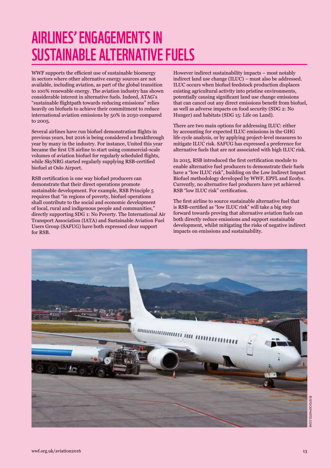### Airlines' engagements in sustainable alternative fuels

WWF supports the efficient use of sustainable bioenergy in sectors where other alternative energy sources are not available, including aviation, as part of the global transition to 100% renewable energy. The aviation industry has shown considerable interest in alternative fuels. Indeed, ATAG's "sustainable flightpath towards reducing emissions" relies heavily on biofuels to achieve their commitment to reduce international aviation emissions by 50% in 2050 compared to 2005.

Several airlines have run biofuel demonstration flights in previous years, but 2016 is being considered a breakthrough year by many in the industry. For instance, United this year became the first US airline to start using commercial-scale volumes of aviation biofuel for regularly scheduled flights, while SkyNRG started regularly supplying RSB-certified biofuel at Oslo Airport.

RSB certification is one way biofuel producers can demonstrate that their direct operations promote sustainable development. For example, RSB Principle 5 requires that "in regions of poverty, biofuel operations shall contribute to the social and economic development of local, rural and indigenous people and communities," directly supporting SDG 1: No Poverty. The International Air Transport Association (IATA) and Sustainable Aviation Fuel Users Group (SAFUG) have both expressed clear support for RSB.

However indirect sustainability impacts – most notably indirect land use change (ILUC) – must also be addressed. ILUC occurs when biofuel feedstock production displaces existing agricultural activity into pristine environments, potentially causing significant land use change emissions that can cancel out any direct emissions benefit from biofuel, as well as adverse impacts on food security (SDG 2: No Hunger) and habitats (SDG 15: Life on Land).

There are two main options for addressing ILUC: either by accounting for expected ILUC emissions in the GHG life cycle analysis, or by applying project-level measures to mitigate ILUC risk. SAFUG has expressed a preference for alternative fuels that are not associated with high ILUC risk.

In 2015, RSB introduced the first certification module to enable alternative fuel producers to demonstrate their fuels have a "low ILUC risk", building on the Low Indirect Impact Biofuel methodology developed by WWF, EPFL and Ecofys. Currently, no alternative fuel producers have yet achieved RSB "low ILUC risk" certification.

The first airline to source sustainable alternative fuel that is RSB-certified as "low ILUC risk" will take a big step forward towards proving that alternative aviation fuels can both directly reduce emissions and support sustainable development, whilst mitigating the risks of negative indirect impacts on emissions and sustainability.

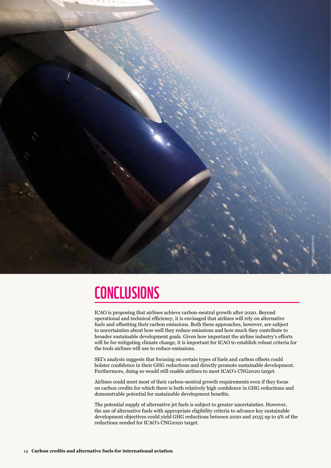

### **CONCLUSIONS**

ICAO is proposing that airlines achieve carbon-neutral growth after 2020. Beyond operational and technical efficiency, it is envisaged that airlines will rely on alternative fuels and offsetting their carbon emissions. Both these approaches, however, are subject to uncertainties about how well they reduce emissions and how much they contribute to broader sustainable development goals. Given how important the airline industry's efforts will be for mitigating climate change, it is important for ICAO to establish robust criteria for the tools airlines will use to reduce emissions.

SEI's analysis suggests that focusing on certain types of fuels and carbon offsets could bolster confidence in their GHG reductions and directly promote sustainable development. Furthermore, doing so would still enable airlines to meet ICAO's CNG2020 target.

Airlines could meet most of their carbon-neutral growth requirements even if they focus on carbon credits for which there is both relatively high confidence in GHG reductions and demonstrable potential for sustainable development benefits.

The potential supply of alternative jet fuels is subject to greater uncertainties. However, the use of alternative fuels with appropriate eligibility criteria to advance key sustainable development objectives could yield GHG reductions between 2020 and 2035 up to 9% of the reductions needed for ICAO's CNG2020 target.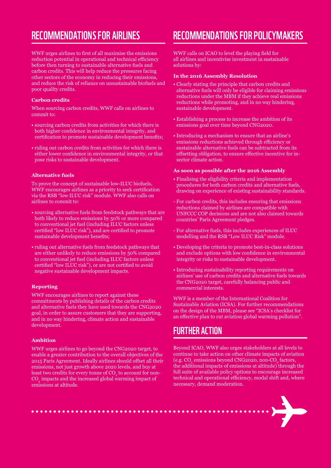### Recommendations for airlines

WWF urges airlines to first of all maximise the emissions reduction potential in operational and technical efficiency before then turning to sustainable alternative fuels and carbon credits. This will help reduce the pressures facing other sectors of the economy in reducing their emissions, and reduce the risk of reliance on unsustainable biofuels and poor quality credits.

#### **Carbon credits**

When sourcing carbon credits, WWF calls on airlines to commit to:

- sourcing carbon credits from activities for which there is both higher confidence in environmental integrity, and certification to promote sustainable development benefits;
- ruling out carbon credits from activities for which there is either lower confidence in environmental integrity, or that pose risks to sustainable development.

#### **Alternative fuels**

To prove the concept of sustainable low-ILUC biofuels, WWF encourages airlines as a priority to seek certification via the RSB "low ILUC risk" module. WWF also calls on airlines to commit to:

- sourcing alternative fuels from feedstock pathways that are both likely to reduce emissions by 50% or more compared to conventional jet fuel (including ILUC factors unless certified "low ILUC risk"), and are certified to promote sustainable development benefits;
- ruling out alternative fuels from feedstock pathways that are either unlikely to reduce emissions by 50% compared to conventional jet fuel (including ILUC factors unless certified "low ILUC risk"), or are not certified to avoid negative sustainable development impacts.

#### **Reporting**

WWF encourages airlines to report against these commitments by publishing details of the carbon credits and alternative fuels they have used towards the CNG2020 goal, in order to assure customers that they are supporting, and in no way hindering, climate action and sustainable development.

#### **Ambition**

WWF urges airlines to go beyond the CNG2020 target, to enable a greater contribution to the overall objectives of the 2015 Paris Agreement. Ideally airlines should offset all their emissions, not just growth above 2020 levels, and buy at least two credits for every tonne of CO $\rm _2$  to account for non- $\mathrm{CO}_2$  impacts and the increased global warming impact of emissions at altitude.

### Recommendations for policymakers

WWF calls on ICAO to level the playing field for all airlines and incentivise investment in sustainable solutions by:

#### **In the 2016 Assembly Resolution**

- Clearly stating the principle that carbon credits and alternative fuels will only be eligible for claiming emissions reductions under the MBM if they achieve real emissions reductions while promoting, and in no way hindering, sustainable development.
- Establishing a process to increase the ambition of its emissions goal over time beyond CNG2020.
- Introducing a mechanism to ensure that an airline's emissions reductions achieved through efficiency or sustainable alternative fuels can be subtracted from its offsetting obligation, to ensure effective incentive for insector climate action.

#### **As soon as possible after the 2016 Assembly**

- Finalising the eligibility criteria and implementation procedures for both carbon credits and alternative fuels, drawing on experience of existing sustainability standards.
- For carbon credits, this includes ensuring that emissions reductions claimed by airlines are compatible with UNFCCC COP decisions and are not also claimed towards countries' Paris Agreement pledges.
- For alternative fuels, this includes experiences of ILUC modelling and the RSB "Low ILUC Risk" module.
- Developing the criteria to promote best-in-class solutions and exclude options with low confidence in environmental integrity or risks to sustainable development.
- Introducing sustainability reporting requirements on airlines' use of carbon credits and alternative fuels towards the CNG2020 target, carefully balancing public and commercial interests.

WWF is a member of the International Coalition for Sustainable Aviation (ICSA). For further recommendations on the design of the MBM, please see "ICSA's checklist for an effective plan to cut aviation global warming pollution".

#### Further action

Beyond ICAO, WWF also urges stakeholders at all levels to continue to take action on other climate impacts of aviation (e.g.  $\mathrm{CO}_\mathrm{2}$  emissions beyond CNG2020, non-CO<sub>2</sub> factors, the additional impacts of emissions at altitude) through the full suite of available policy options to encourage increased technical and operational efficiency, modal shift and, where necessary, demand moderation.